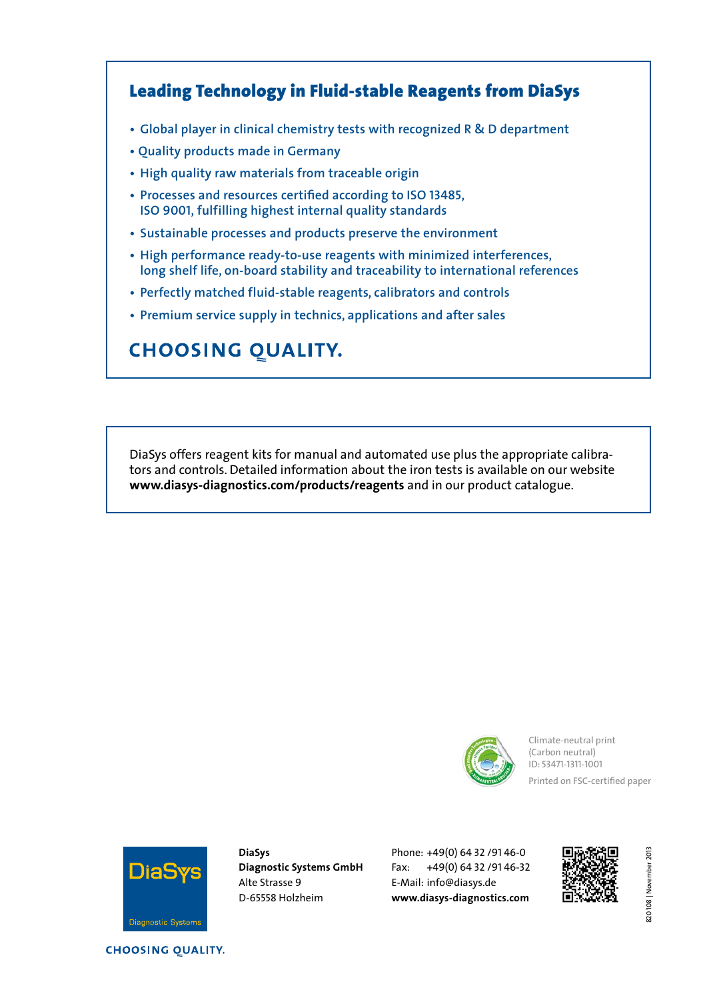### Leading Technology in Fluid-stable Reagents from DiaSys

- **• Global player in clinical chemistry tests with recognized R & D department**
- **• Quality products made in Germany**
- **• High quality raw materials from traceable origin**
- **• Processes and resources certified according to ISO 13485, ISO 9001, fulfilling highest internal quality standards**
- **• Sustainable processes and products preserve the environment**
- **• High performance ready-to-use reagents with minimized interferences, long shelf life, on-board stability and traceability to international references**
- **• Perfectly matched fluid-stable reagents, calibrators and controls**
- **• Premium service supply in technics, applications and after sales**

### **CHOOSING QUALITY.**

DiaSys offers reagent kits for manual and automated use plus the appropriate calibrators and controls. Detailed information about the iron tests is available on our website **www.diasys-diagnostics.com/products/reagents** and in our product catalogue.



Climate-neutral print (Carbon neutral) ID: 53471-1311-1001 Printed on FSC-certified paper



**DiaSys Diagnostic Systems GmbH**  Alte Strasse 9 D-65558 Holzheim

Phone: +49(0) 64 32 /91 46-0 Fax: +49(0) 64 32 /91 46-32 E-Mail: info@diasys.de **www.diasys-diagnostics.com**



**CHOOSING QUALITY.** 

820 108 | November 2013 820 108 | November 2013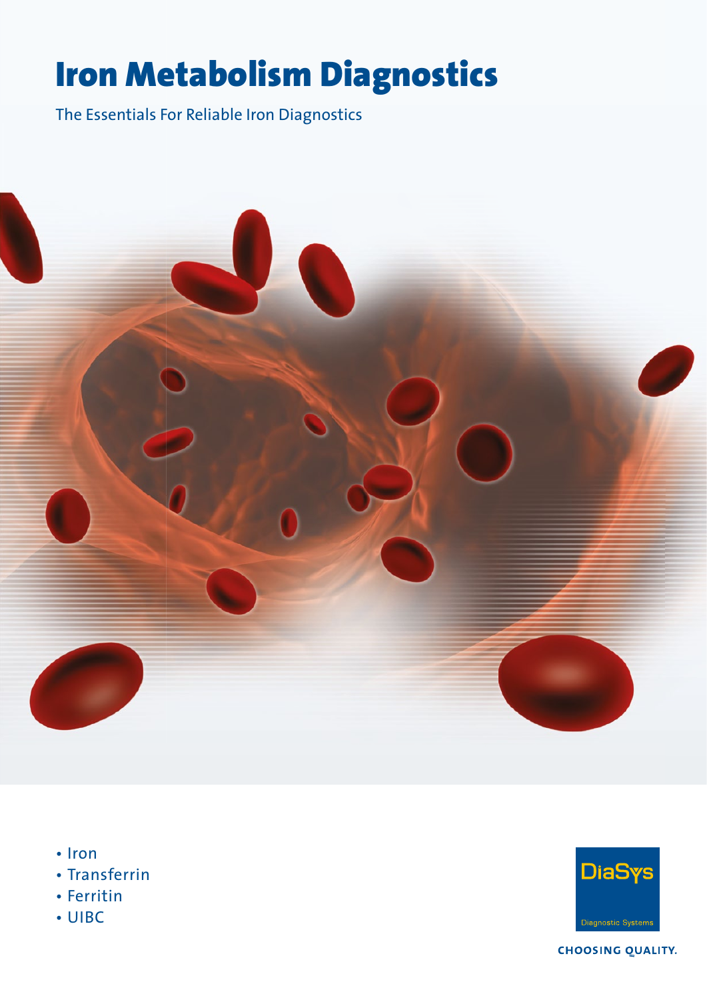# Iron Metabolism Diagnostics

The Essentials For Reliable Iron Diagnostics



- Iron
- Transferrin
- Ferritin
- UIBC



**CHOOSING QUALITY.**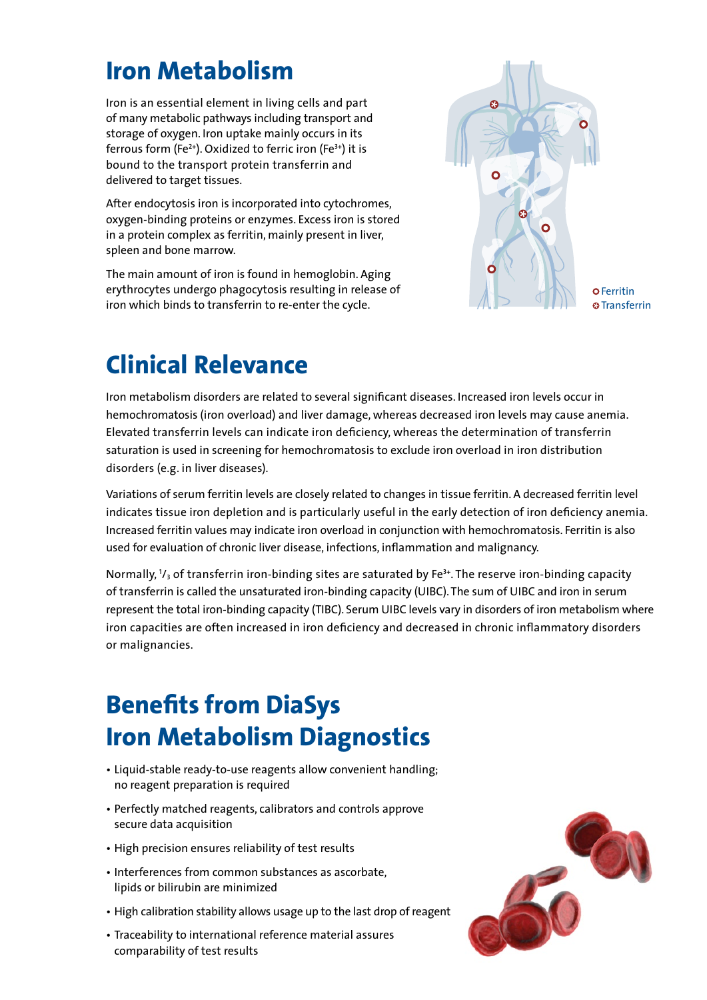## **Iron Metabolism**

Iron is an essential element in living cells and part of many metabolic pathways including transport and storage of oxygen. Iron uptake mainly occurs in its ferrous form (Fe**<sup>2</sup><sup>+</sup>** ). Oxidized to ferric iron (Fe**<sup>3</sup><sup>+</sup>** ) it is bound to the transport protein transferrin and delivered to target tissues.

After endocytosis iron is incorporated into cytochromes, oxygen-binding proteins or enzymes. Excess iron is stored in a protein complex as ferritin, mainly present in liver, spleen and bone marrow.

The main amount of iron is found in hemoglobin. Aging erythrocytes undergo phagocytosis resulting in release of iron which binds to transferrin to re-enter the cycle.



**@Transferrin** 

## **Clinical Relevance**

Iron metabolism disorders are related to several significant diseases. Increased iron levels occur in hemo chromatosis (iron overload) and liver damage, whereas decreased iron levels may cause anemia. Elevated transferrin levels can indicate iron deficiency, whereas the determination of transferrin saturation is used in screening for hemochromatosis to exclude iron overload in iron distribution disorders (e.g. in liver diseases).

Variations of serum ferritin levels are closely related to changes in tissue ferritin. A decreased ferritin level indicates tissue iron depletion and is particularly useful in the early detection of iron deficiency anemia. Increased ferritin values may indicate iron overload in conjunction with hemochromatosis. Ferritin is also used for evaluation of chronic liver disease, infections, inflammation and malignancy.

Normally, **<sup>1</sup>** /**3** of transferrin iron-binding sites are saturated by Fe**<sup>3</sup><sup>+</sup>**. The reserve iron-binding capacity of transferrin is called the unsaturated iron-binding capacity (UIBC). The sum of UIBC and iron in serum represent the total iron-binding capacity (TIBC). Serum UIBC levels vary in disorders of iron metabolism where iron capacities are often increased in iron deficiency and decreased in chronic inflammatory disorders or malignancies.

## **Benefits from DiaSys Iron Metabolism Diagnostics**

- Liquid-stable ready-to-use reagents allow convenient handling; no reagent preparation is required
- Perfectly matched reagents, calibrators and controls approve secure data acquisition
- High precision ensures reliability of test results
- Interferences from common substances as ascorbate, lipids or bilirubin are minimized
- High calibration stability allows usage up to the last drop of reagent
- Traceability to international reference material assures comparability of test results